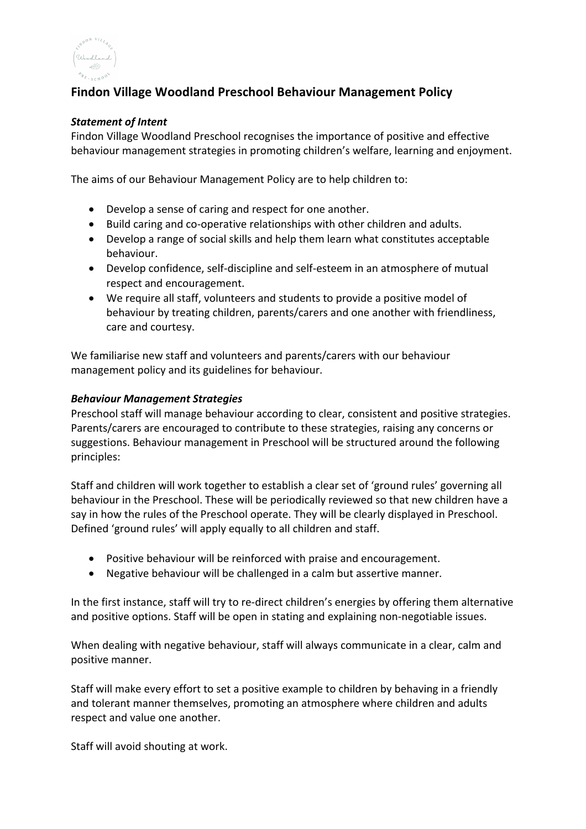

# **Findon Village Woodland Preschool Behaviour Management Policy**

#### *Statement of Intent*

Findon Village Woodland Preschool recognises the importance of positive and effective behaviour management strategies in promoting children's welfare, learning and enjoyment.

The aims of our Behaviour Management Policy are to help children to:

- Develop a sense of caring and respect for one another.
- Build caring and co-operative relationships with other children and adults.
- Develop a range of social skills and help them learn what constitutes acceptable behaviour.
- Develop confidence, self-discipline and self-esteem in an atmosphere of mutual respect and encouragement.
- We require all staff, volunteers and students to provide a positive model of behaviour by treating children, parents/carers and one another with friendliness, care and courtesy.

We familiarise new staff and volunteers and parents/carers with our behaviour management policy and its guidelines for behaviour.

## *Behaviour Management Strategies*

Preschool staff will manage behaviour according to clear, consistent and positive strategies. Parents/carers are encouraged to contribute to these strategies, raising any concerns or suggestions. Behaviour management in Preschool will be structured around the following principles:

Staff and children will work together to establish a clear set of 'ground rules' governing all behaviour in the Preschool. These will be periodically reviewed so that new children have a say in how the rules of the Preschool operate. They will be clearly displayed in Preschool. Defined 'ground rules' will apply equally to all children and staff.

- Positive behaviour will be reinforced with praise and encouragement.
- Negative behaviour will be challenged in a calm but assertive manner.

In the first instance, staff will try to re-direct children's energies by offering them alternative and positive options. Staff will be open in stating and explaining non-negotiable issues.

When dealing with negative behaviour, staff will always communicate in a clear, calm and positive manner.

Staff will make every effort to set a positive example to children by behaving in a friendly and tolerant manner themselves, promoting an atmosphere where children and adults respect and value one another.

Staff will avoid shouting at work.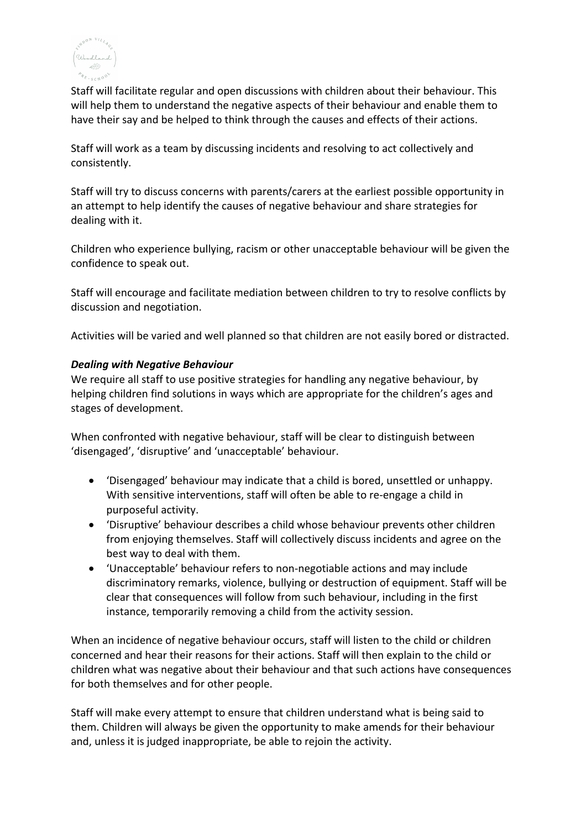

Staff will facilitate regular and open discussions with children about their behaviour. This will help them to understand the negative aspects of their behaviour and enable them to have their say and be helped to think through the causes and effects of their actions.

Staff will work as a team by discussing incidents and resolving to act collectively and consistently.

Staff will try to discuss concerns with parents/carers at the earliest possible opportunity in an attempt to help identify the causes of negative behaviour and share strategies for dealing with it.

Children who experience bullying, racism or other unacceptable behaviour will be given the confidence to speak out.

Staff will encourage and facilitate mediation between children to try to resolve conflicts by discussion and negotiation.

Activities will be varied and well planned so that children are not easily bored or distracted.

## *Dealing with Negative Behaviour*

We require all staff to use positive strategies for handling any negative behaviour, by helping children find solutions in ways which are appropriate for the children's ages and stages of development.

When confronted with negative behaviour, staff will be clear to distinguish between 'disengaged', 'disruptive' and 'unacceptable' behaviour.

- 'Disengaged' behaviour may indicate that a child is bored, unsettled or unhappy. With sensitive interventions, staff will often be able to re-engage a child in purposeful activity.
- 'Disruptive' behaviour describes a child whose behaviour prevents other children from enjoying themselves. Staff will collectively discuss incidents and agree on the best way to deal with them.
- 'Unacceptable' behaviour refers to non-negotiable actions and may include discriminatory remarks, violence, bullying or destruction of equipment. Staff will be clear that consequences will follow from such behaviour, including in the first instance, temporarily removing a child from the activity session.

When an incidence of negative behaviour occurs, staff will listen to the child or children concerned and hear their reasons for their actions. Staff will then explain to the child or children what was negative about their behaviour and that such actions have consequences for both themselves and for other people.

Staff will make every attempt to ensure that children understand what is being said to them. Children will always be given the opportunity to make amends for their behaviour and, unless it is judged inappropriate, be able to rejoin the activity.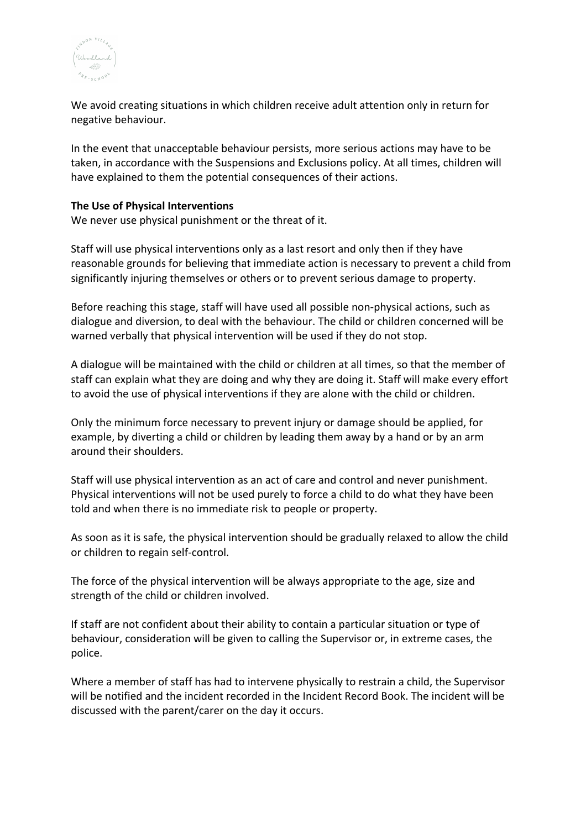

We avoid creating situations in which children receive adult attention only in return for negative behaviour.

In the event that unacceptable behaviour persists, more serious actions may have to be taken, in accordance with the Suspensions and Exclusions policy. At all times, children will have explained to them the potential consequences of their actions.

#### **The Use of Physical Interventions**

We never use physical punishment or the threat of it.

Staff will use physical interventions only as a last resort and only then if they have reasonable grounds for believing that immediate action is necessary to prevent a child from significantly injuring themselves or others or to prevent serious damage to property.

Before reaching this stage, staff will have used all possible non-physical actions, such as dialogue and diversion, to deal with the behaviour. The child or children concerned will be warned verbally that physical intervention will be used if they do not stop.

A dialogue will be maintained with the child or children at all times, so that the member of staff can explain what they are doing and why they are doing it. Staff will make every effort to avoid the use of physical interventions if they are alone with the child or children.

Only the minimum force necessary to prevent injury or damage should be applied, for example, by diverting a child or children by leading them away by a hand or by an arm around their shoulders.

Staff will use physical intervention as an act of care and control and never punishment. Physical interventions will not be used purely to force a child to do what they have been told and when there is no immediate risk to people or property.

As soon as it is safe, the physical intervention should be gradually relaxed to allow the child or children to regain self-control.

The force of the physical intervention will be always appropriate to the age, size and strength of the child or children involved.

If staff are not confident about their ability to contain a particular situation or type of behaviour, consideration will be given to calling the Supervisor or, in extreme cases, the police.

Where a member of staff has had to intervene physically to restrain a child, the Supervisor will be notified and the incident recorded in the Incident Record Book. The incident will be discussed with the parent/carer on the day it occurs.